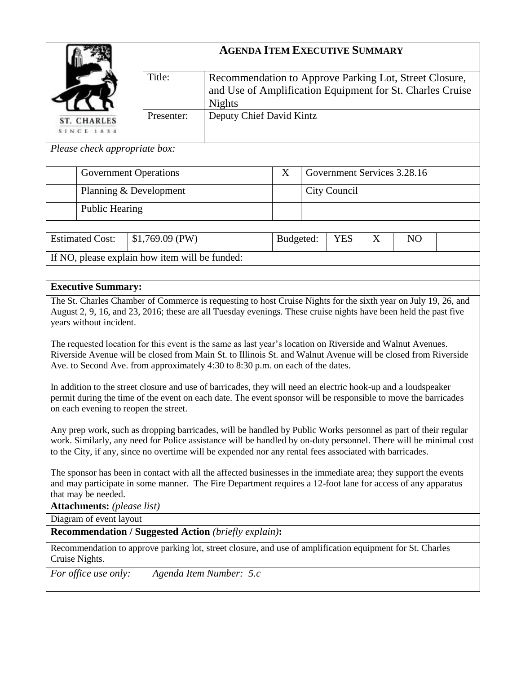| <b>ST. CHARLES</b><br><b>SINCE 1834</b><br>Please check appropriate box:<br><b>Estimated Cost:</b><br><b>Executive Summary:</b><br>years without incident. | <b>Public Hearing</b> | Title:<br>Presenter:<br><b>Government Operations</b><br>Planning & Development<br>$$1,769.09$ (PW)<br>If NO, please explain how item will be funded:<br>The St. Charles Chamber of Commerce is requesting to host Cruise Nights for the sixth year on July 19, 26, and<br>August 2, 9, 16, and 23, 2016; these are all Tuesday evenings. These cruise nights have been held the past five<br>The requested location for this event is the same as last year's location on Riverside and Walnut Avenues. | Recommendation to Approve Parking Lot, Street Closure,<br>and Use of Amplification Equipment for St. Charles Cruise<br><b>Nights</b><br>Deputy Chief David Kintz | X<br>Budgeted: | City Council<br><b>YES</b> | X | Government Services 3.28.16<br>N <sub>O</sub> |  |
|------------------------------------------------------------------------------------------------------------------------------------------------------------|-----------------------|---------------------------------------------------------------------------------------------------------------------------------------------------------------------------------------------------------------------------------------------------------------------------------------------------------------------------------------------------------------------------------------------------------------------------------------------------------------------------------------------------------|------------------------------------------------------------------------------------------------------------------------------------------------------------------|----------------|----------------------------|---|-----------------------------------------------|--|
|                                                                                                                                                            |                       |                                                                                                                                                                                                                                                                                                                                                                                                                                                                                                         |                                                                                                                                                                  |                |                            |   |                                               |  |
|                                                                                                                                                            |                       |                                                                                                                                                                                                                                                                                                                                                                                                                                                                                                         |                                                                                                                                                                  |                |                            |   |                                               |  |
|                                                                                                                                                            |                       |                                                                                                                                                                                                                                                                                                                                                                                                                                                                                                         |                                                                                                                                                                  |                |                            |   |                                               |  |
|                                                                                                                                                            |                       |                                                                                                                                                                                                                                                                                                                                                                                                                                                                                                         |                                                                                                                                                                  |                |                            |   |                                               |  |
|                                                                                                                                                            |                       |                                                                                                                                                                                                                                                                                                                                                                                                                                                                                                         |                                                                                                                                                                  |                |                            |   |                                               |  |
|                                                                                                                                                            |                       |                                                                                                                                                                                                                                                                                                                                                                                                                                                                                                         |                                                                                                                                                                  |                |                            |   |                                               |  |
|                                                                                                                                                            |                       |                                                                                                                                                                                                                                                                                                                                                                                                                                                                                                         |                                                                                                                                                                  |                |                            |   |                                               |  |
|                                                                                                                                                            |                       |                                                                                                                                                                                                                                                                                                                                                                                                                                                                                                         |                                                                                                                                                                  |                |                            |   |                                               |  |
|                                                                                                                                                            |                       |                                                                                                                                                                                                                                                                                                                                                                                                                                                                                                         |                                                                                                                                                                  |                |                            |   |                                               |  |
|                                                                                                                                                            |                       |                                                                                                                                                                                                                                                                                                                                                                                                                                                                                                         |                                                                                                                                                                  |                |                            |   |                                               |  |
|                                                                                                                                                            |                       |                                                                                                                                                                                                                                                                                                                                                                                                                                                                                                         |                                                                                                                                                                  |                |                            |   |                                               |  |
|                                                                                                                                                            |                       |                                                                                                                                                                                                                                                                                                                                                                                                                                                                                                         |                                                                                                                                                                  |                |                            |   |                                               |  |
|                                                                                                                                                            |                       | Ave. to Second Ave. from approximately 4:30 to 8:30 p.m. on each of the dates.                                                                                                                                                                                                                                                                                                                                                                                                                          | Riverside Avenue will be closed from Main St. to Illinois St. and Walnut Avenue will be closed from Riverside                                                    |                |                            |   |                                               |  |
|                                                                                                                                                            |                       | In addition to the street closure and use of barricades, they will need an electric hook-up and a loudspeaker<br>permit during the time of the event on each date. The event sponsor will be responsible to move the barricades<br>on each evening to reopen the street.                                                                                                                                                                                                                                |                                                                                                                                                                  |                |                            |   |                                               |  |
|                                                                                                                                                            |                       | Any prep work, such as dropping barricades, will be handled by Public Works personnel as part of their regular<br>work. Similarly, any need for Police assistance will be handled by on-duty personnel. There will be minimal cost<br>to the City, if any, since no overtime will be expended nor any rental fees associated with barricades.                                                                                                                                                           |                                                                                                                                                                  |                |                            |   |                                               |  |
| that may be needed.                                                                                                                                        |                       | The sponsor has been in contact with all the affected businesses in the immediate area; they support the events<br>and may participate in some manner. The Fire Department requires a 12-foot lane for access of any apparatus                                                                                                                                                                                                                                                                          |                                                                                                                                                                  |                |                            |   |                                               |  |
| <b>Attachments:</b> (please list)                                                                                                                          |                       |                                                                                                                                                                                                                                                                                                                                                                                                                                                                                                         |                                                                                                                                                                  |                |                            |   |                                               |  |
| Diagram of event layout                                                                                                                                    |                       | <b>Recommendation / Suggested Action (briefly explain):</b>                                                                                                                                                                                                                                                                                                                                                                                                                                             |                                                                                                                                                                  |                |                            |   |                                               |  |
| Cruise Nights.                                                                                                                                             |                       |                                                                                                                                                                                                                                                                                                                                                                                                                                                                                                         |                                                                                                                                                                  |                |                            |   |                                               |  |
| For office use only:                                                                                                                                       |                       | Recommendation to approve parking lot, street closure, and use of amplification equipment for St. Charles                                                                                                                                                                                                                                                                                                                                                                                               |                                                                                                                                                                  |                |                            |   |                                               |  |